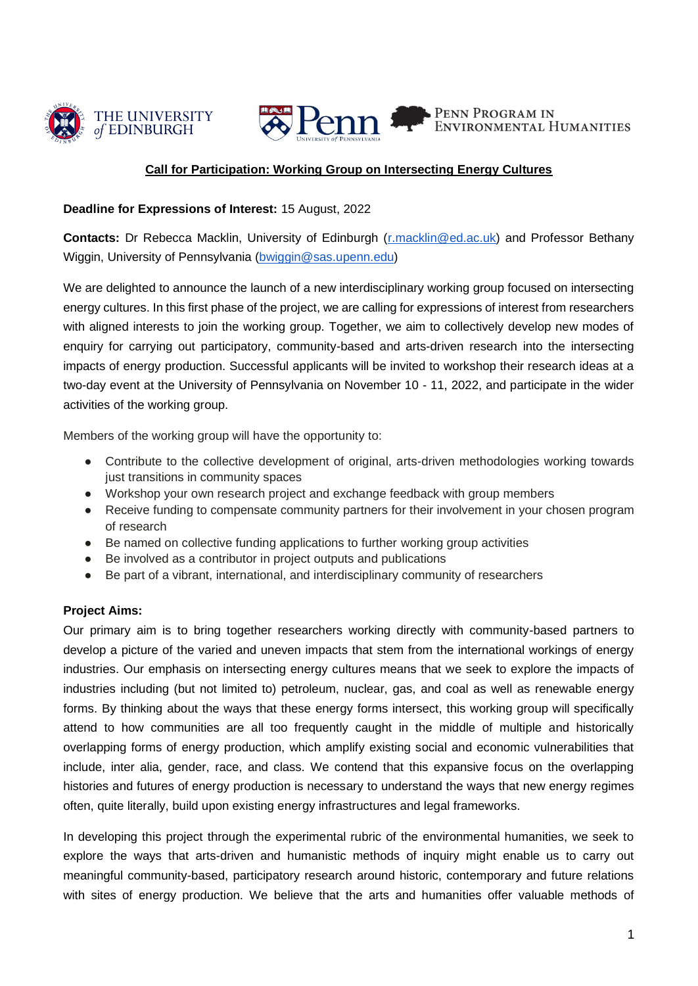



# Penn PENN PROGRAM IN

# **Call for Participation: Working Group on Intersecting Energy Cultures**

### **Deadline for Expressions of Interest:** 15 August, 2022

**Contacts:** Dr Rebecca Macklin, University of Edinburgh [\(r.macklin@ed.ac.uk\)](mailto:r.macklin@ed.ac.uk) and Professor Bethany Wiggin, University of Pennsylvania [\(bwiggin@sas.upenn.edu\)](mailto:bwiggin@sas.upenn.edu)

We are delighted to announce the launch of a new interdisciplinary working group focused on intersecting energy cultures. In this first phase of the project, we are calling for expressions of interest from researchers with aligned interests to join the working group. Together, we aim to collectively develop new modes of enquiry for carrying out participatory, community-based and arts-driven research into the intersecting impacts of energy production. Successful applicants will be invited to workshop their research ideas at a two-day event at the University of Pennsylvania on November 10 - 11, 2022, and participate in the wider activities of the working group.

Members of the working group will have the opportunity to:

- Contribute to the collective development of original, arts-driven methodologies working towards just transitions in community spaces
- Workshop your own research project and exchange feedback with group members
- Receive funding to compensate community partners for their involvement in your chosen program of research
- Be named on collective funding applications to further working group activities
- Be involved as a contributor in project outputs and publications
- Be part of a vibrant, international, and interdisciplinary community of researchers

## **Project Aims:**

Our primary aim is to bring together researchers working directly with community-based partners to develop a picture of the varied and uneven impacts that stem from the international workings of energy industries. Our emphasis on intersecting energy cultures means that we seek to explore the impacts of industries including (but not limited to) petroleum, nuclear, gas, and coal as well as renewable energy forms. By thinking about the ways that these energy forms intersect, this working group will specifically attend to how communities are all too frequently caught in the middle of multiple and historically overlapping forms of energy production, which amplify existing social and economic vulnerabilities that include, inter alia, gender, race, and class. We contend that this expansive focus on the overlapping histories and futures of energy production is necessary to understand the ways that new energy regimes often, quite literally, build upon existing energy infrastructures and legal frameworks.

In developing this project through the experimental rubric of the environmental humanities, we seek to explore the ways that arts-driven and humanistic methods of inquiry might enable us to carry out meaningful community-based, participatory research around historic, contemporary and future relations with sites of energy production. We believe that the arts and humanities offer valuable methods of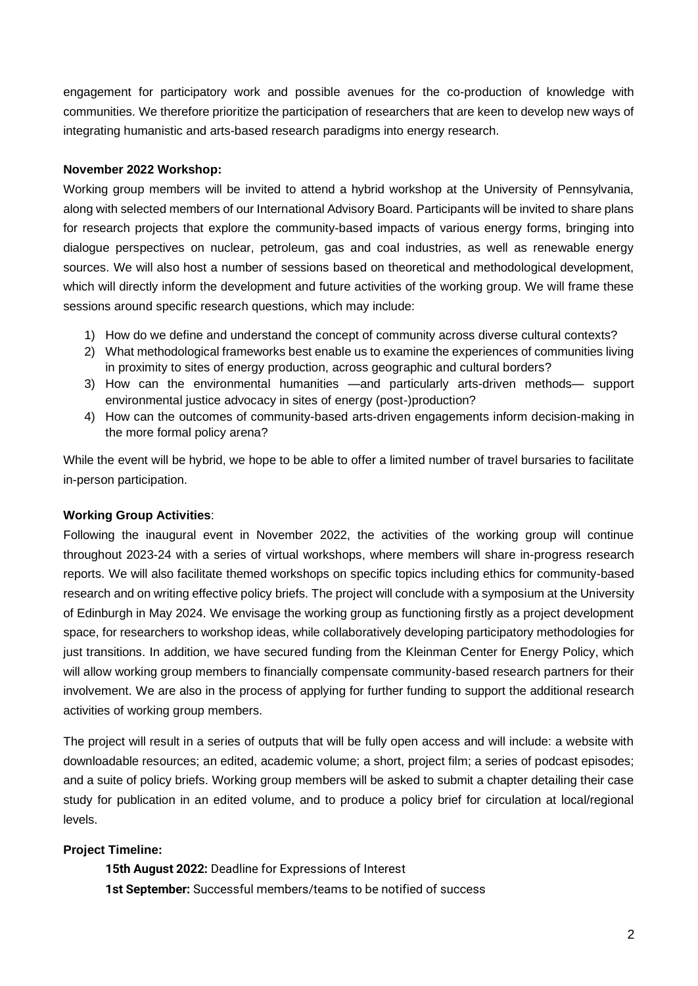engagement for participatory work and possible avenues for the co-production of knowledge with communities. We therefore prioritize the participation of researchers that are keen to develop new ways of integrating humanistic and arts-based research paradigms into energy research.

#### **November 2022 Workshop:**

Working group members will be invited to attend a hybrid workshop at the University of Pennsylvania, along with selected members of our International Advisory Board. Participants will be invited to share plans for research projects that explore the community-based impacts of various energy forms, bringing into dialogue perspectives on nuclear, petroleum, gas and coal industries, as well as renewable energy sources. We will also host a number of sessions based on theoretical and methodological development, which will directly inform the development and future activities of the working group. We will frame these sessions around specific research questions, which may include:

- 1) How do we define and understand the concept of community across diverse cultural contexts?
- 2) What methodological frameworks best enable us to examine the experiences of communities living in proximity to sites of energy production, across geographic and cultural borders?
- 3) How can the environmental humanities —and particularly arts-driven methods— support environmental justice advocacy in sites of energy (post-)production?
- 4) How can the outcomes of community-based arts-driven engagements inform decision-making in the more formal policy arena?

While the event will be hybrid, we hope to be able to offer a limited number of travel bursaries to facilitate in-person participation.

#### **Working Group Activities**:

Following the inaugural event in November 2022, the activities of the working group will continue throughout 2023-24 with a series of virtual workshops, where members will share in-progress research reports. We will also facilitate themed workshops on specific topics including ethics for community-based research and on writing effective policy briefs. The project will conclude with a symposium at the University of Edinburgh in May 2024. We envisage the working group as functioning firstly as a project development space, for researchers to workshop ideas, while collaboratively developing participatory methodologies for just transitions. In addition, we have secured funding from the Kleinman Center for Energy Policy, which will allow working group members to financially compensate community-based research partners for their involvement. We are also in the process of applying for further funding to support the additional research activities of working group members.

The project will result in a series of outputs that will be fully open access and will include: a website with downloadable resources; an edited, academic volume; a short, project film; a series of podcast episodes; and a suite of policy briefs. Working group members will be asked to submit a chapter detailing their case study for publication in an edited volume, and to produce a policy brief for circulation at local/regional levels.

#### **Project Timeline:**

**15th August 2022:** Deadline for Expressions of Interest **1st September:** Successful members/teams to be notified of success